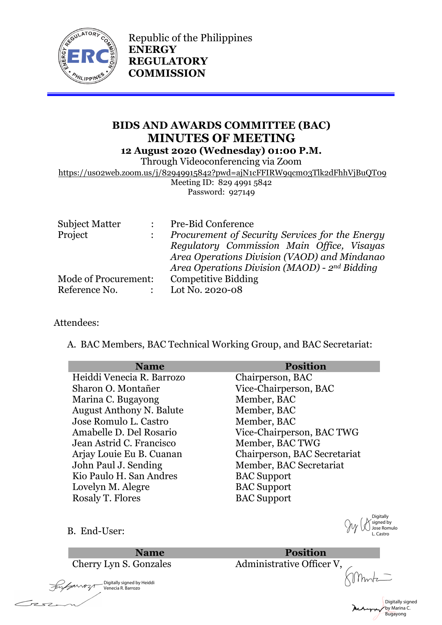

Republic of the Philippines **ENERGY REGULATORY COMMISSION**

# **BIDS AND AWARDS COMMITTEE (BAC) MINUTES OF MEETING 12 August 2020 (Wednesday) 01:00 P.M.**

Through Videoconferencing via Zoom

https://us02web.zoom.us/j/82949915842?pwd=ajN1cFFIRW9qcm03Tlk2dFhhVjBuQT09

Meeting ID: 829 4991 5842 Password: 927149

| <b>Subject Matter</b> |               | <b>Pre-Bid Conference</b>                       |
|-----------------------|---------------|-------------------------------------------------|
| Project               |               | Procurement of Security Services for the Energy |
|                       |               | Requlatory Commission Main Office, Visayas      |
|                       |               | Area Operations Division (VAOD) and Mindanao    |
|                       |               | Area Operations Division (MAOD) - $2nd$ Bidding |
| Mode of Procurement:  |               | <b>Competitive Bidding</b>                      |
| Reference No.         | $\mathcal{L}$ | Lot No. 2020-08                                 |

#### Attendees:

A. BAC Members, BAC Technical Working Group, and BAC Secretariat:

| <b>Name</b>                     | <b>Position</b>              |
|---------------------------------|------------------------------|
| Heiddi Venecia R. Barrozo       | Chairperson, BAC             |
| Sharon O. Montañer              | Vice-Chairperson, BAC        |
| Marina C. Bugayong              | Member, BAC                  |
| <b>August Anthony N. Balute</b> | Member, BAC                  |
| Jose Romulo L. Castro           | Member, BAC                  |
| Amabelle D. Del Rosario         | Vice-Chairperson, BAC TWG    |
| Jean Astrid C. Francisco        | Member, BAC TWG              |
| Arjay Louie Eu B. Cuanan        | Chairperson, BAC Secretariat |
| John Paul J. Sending            | Member, BAC Secretariat      |
| Kio Paulo H. San Andres         | <b>BAC</b> Support           |
| Lovelyn M. Alegre               | <b>BAC</b> Support           |
| <b>Rosaly T. Flores</b>         | <b>BAC</b> Support           |

**Digitally** signed by Jose Romulo L. Castro

> Digitally signed by Marina C. Bugayong

B. End-User:

temporment

Crsz

Digitally signed by Heiddi Venecia R. Barrozo

**Name Position**<br>Cherry Lyn S. Gonzales **Administrative Office** Administrative Officer V, KMmtz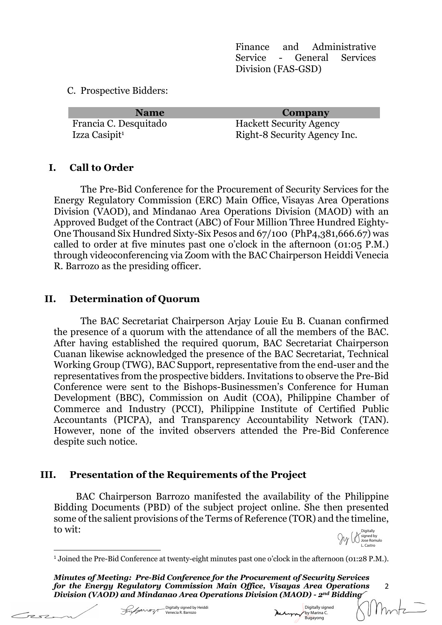Finance and Administrative Service - General Services Division (FAS-GSD)

C. Prospective Bidders:

| <b>Name</b>               | Company                        |
|---------------------------|--------------------------------|
| Francia C. Desquitado     | <b>Hackett Security Agency</b> |
| Izza Casipit <sup>1</sup> | Right-8 Security Agency Inc.   |

#### **I. Call to Order**

The Pre-Bid Conference for the Procurement of Security Services for the Energy Regulatory Commission (ERC) Main Office, Visayas Area Operations Division (VAOD), and Mindanao Area Operations Division (MAOD) with an Approved Budget of the Contract (ABC) of Four Million Three Hundred Eighty-One Thousand Six Hundred Sixty-Six Pesos and 67/100 (PhP4,381,666.67) was called to order at five minutes past one o'clock in the afternoon (01:05 P.M.) through videoconferencing via Zoom with the BAC Chairperson Heiddi Venecia R. Barrozo as the presiding officer.

## **II. Determination of Quorum**

The BAC Secretariat Chairperson Arjay Louie Eu B. Cuanan confirmed the presence of a quorum with the attendance of all the members of the BAC. After having established the required quorum, BAC Secretariat Chairperson Cuanan likewise acknowledged the presence of the BAC Secretariat, Technical Working Group (TWG), BAC Support, representative from the end-user and the representatives from the prospective bidders. Invitations to observe the Pre-Bid Conference were sent to the Bishops-Businessmen's Conference for Human Development (BBC), Commission on Audit (COA), Philippine Chamber of Commerce and Industry (PCCI), Philippine Institute of Certified Public Accountants (PICPA), and Transparency Accountability Network (TAN). However, none of the invited observers attended the Pre-Bid Conference despite such notice.

# **III. Presentation of the Requirements of the Project**

BAC Chairperson Barrozo manifested the availability of the Philippine Bidding Documents (PBD) of the subject project online. She then presented some of the salient provisions of the Terms of Reference (TOR) and the timeline, to wit:



2

Mmtz

*Minutes of Meeting: Pre-Bid Conference for the Procurement of Security Services for the Energy Regulatory Commission Main Office, Visayas Area Operations Division (VAOD) and Mindanao Area Operations Division (MAOD) - 2nd Bidding*

 $\tau$ 



Digitally signed Mehappy by Marina C. Bugayong

<sup>1</sup> Joined the Pre-Bid Conference at twenty-eight minutes past one o'clock in the afternoon (01:28 P.M.).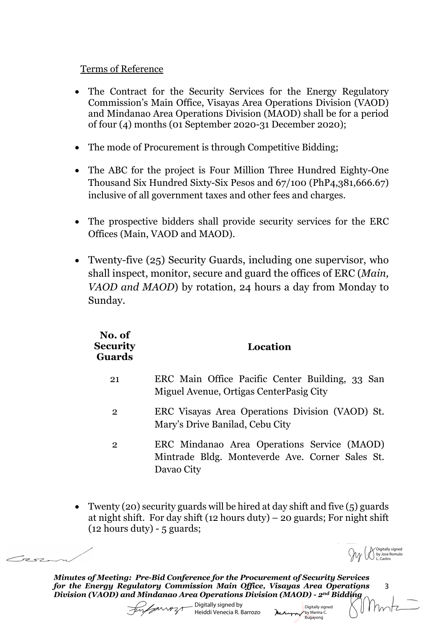#### Terms of Reference

- The Contract for the Security Services for the Energy Regulatory Commission's Main Office, Visayas Area Operations Division (VAOD) and Mindanao Area Operations Division (MAOD) shall be for a period of four (4) months (01 September 2020-31 December 2020);
- The mode of Procurement is through Competitive Bidding;
- The ABC for the project is Four Million Three Hundred Eighty-One Thousand Six Hundred Sixty-Six Pesos and 67/100 (PhP4,381,666.67) inclusive of all government taxes and other fees and charges.
- The prospective bidders shall provide security services for the ERC Offices (Main, VAOD and MAOD).
- Twenty-five (25) Security Guards, including one supervisor, who shall inspect, monitor, secure and guard the offices of ERC (*Main, VAOD and MAOD*) by rotation, 24 hours a day from Monday to Sunday.

| No. of<br>Security<br><b>Guards</b> | Location                                                                                                     |
|-------------------------------------|--------------------------------------------------------------------------------------------------------------|
| 21                                  | ERC Main Office Pacific Center Building, 33 San<br>Miguel Avenue, Ortigas CenterPasig City                   |
| $\overline{2}$                      | ERC Visayas Area Operations Division (VAOD) St.<br>Mary's Drive Banilad, Cebu City                           |
| $\overline{2}$                      | ERC Mindanao Area Operations Service (MAOD)<br>Mintrade Bldg. Monteverde Ave. Corner Sales St.<br>Davao City |

• Twenty (20) security guards will be hired at day shift and five (5) guards at night shift. For day shift (12 hours duty) – 20 guards; For night shift (12 hours duty) - 5 guards;

**Digitally signed**<br>
Digitally signed<br>
L. Castro

Digitally signed by Marina C. Bugayong

3

*Minutes of Meeting: Pre-Bid Conference for the Procurement of Security Services for the Energy Regulatory Commission Main Office, Visayas Area Operations Division (VAOD) and Mindanao Area Operations Division (MAOD) - 2nd Bidding*

Garrozi

 $72.7$ 

Digitally signed by Heiddi Venecia R. Barrozo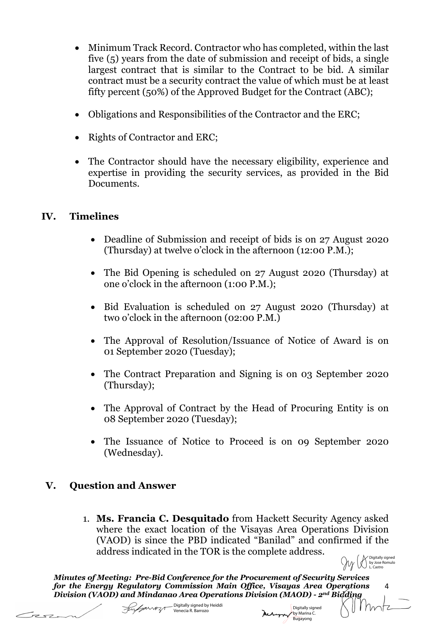- Minimum Track Record. Contractor who has completed, within the last five (5) years from the date of submission and receipt of bids, a single largest contract that is similar to the Contract to be bid. A similar contract must be a security contract the value of which must be at least fifty percent (50%) of the Approved Budget for the Contract (ABC);
- Obligations and Responsibilities of the Contractor and the ERC;
- Rights of Contractor and ERC:
- The Contractor should have the necessary eligibility, experience and expertise in providing the security services, as provided in the Bid Documents.

## **IV. Timelines**

- Deadline of Submission and receipt of bids is on 27 August 2020 (Thursday) at twelve o'clock in the afternoon (12:00 P.M.);
- The Bid Opening is scheduled on 27 August 2020 (Thursday) at one o'clock in the afternoon (1:00 P.M.);
- Bid Evaluation is scheduled on 27 August 2020 (Thursday) at two o'clock in the afternoon (02:00 P.M.)
- The Approval of Resolution/Issuance of Notice of Award is on 01 September 2020 (Tuesday);
- The Contract Preparation and Signing is on 03 September 2020 (Thursday);
- The Approval of Contract by the Head of Procuring Entity is on 08 September 2020 (Tuesday);
- The Issuance of Notice to Proceed is on 09 September 2020 (Wednesday).

# **V. Question and Answer**

 $\tau$ 

1. **Ms. Francia C. Desquitado** from Hackett Security Agency asked where the exact location of the Visayas Area Operations Division (VAOD) is since the PBD indicated "Banilad" and confirmed if the address indicated in the TOR is the complete address.

by Jose Romulo L. Castro

 $\| \cdot \|$ 

Digitally signed by Marina C. Bugayong

4

*Minutes of Meeting: Pre-Bid Conference for the Procurement of Security Services for the Energy Regulatory Commission Main Office, Visayas Area Operations Division (VAOD) and Mindanao Area Operations Division (MAOD) - 2nd Bidding*

Digitally signed by Heiddi Venecia R. Barrozo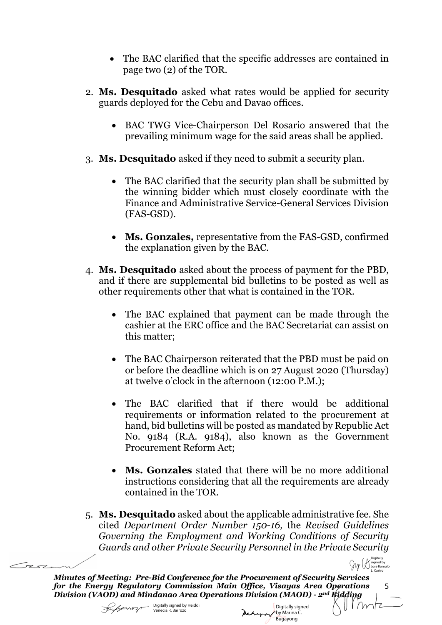- The BAC clarified that the specific addresses are contained in page two (2) of the TOR.
- 2. **Ms. Desquitado** asked what rates would be applied for security guards deployed for the Cebu and Davao offices.
	- BAC TWG Vice-Chairperson Del Rosario answered that the prevailing minimum wage for the said areas shall be applied.
- 3. **Ms. Desquitado** asked if they need to submit a security plan.
	- The BAC clarified that the security plan shall be submitted by the winning bidder which must closely coordinate with the Finance and Administrative Service-General Services Division (FAS-GSD).
	- **Ms. Gonzales,** representative from the FAS-GSD, confirmed the explanation given by the BAC.
- 4. **Ms. Desquitado** asked about the process of payment for the PBD, and if there are supplemental bid bulletins to be posted as well as other requirements other that what is contained in the TOR.
	- The BAC explained that payment can be made through the cashier at the ERC office and the BAC Secretariat can assist on this matter;
	- The BAC Chairperson reiterated that the PBD must be paid on or before the deadline which is on 27 August 2020 (Thursday) at twelve o'clock in the afternoon (12:00 P.M.);
	- The BAC clarified that if there would be additional requirements or information related to the procurement at hand, bid bulletins will be posted as mandated by Republic Act No. 9184 (R.A. 9184), also known as the Government Procurement Reform Act;
	- **Ms. Gonzales** stated that there will be no more additional instructions considering that all the requirements are already contained in the TOR.
- 5. **Ms. Desquitado** asked about the applicable administrative fee. She cited *Department Order Number 150-16,* the *Revised Guidelines Governing the Employment and Working Conditions of Security Guards and other Private Security Personnel in the Private Security*

*Minutes of Meeting: Pre-Bid Conference for the Procurement of Security Services for the Energy Regulatory Commission Main Office, Visayas Area Operations Division (VAOD) and Mindanao Area Operations Division (MAOD) - 2nd Bidding*



 $|||hntz$ 

5

Digitally signed by Heiddi Venecia R. Barrozo

Tese

Digitally signed Me August by Marina C. Bugayong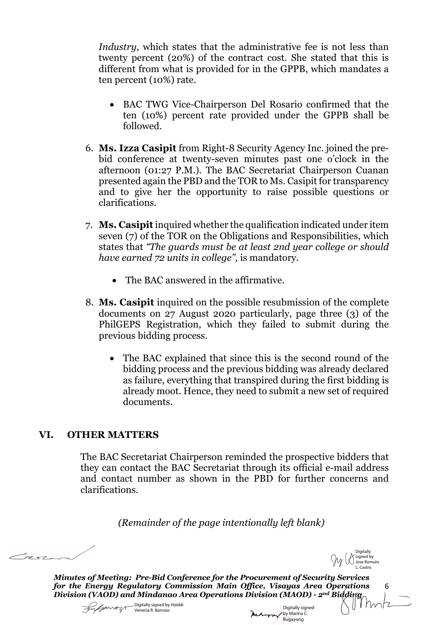*Industry*, which states that the administrative fee is not less than twenty percent (20%) of the contract cost. She stated that this is different from what is provided for in the GPPB, which mandates a ten percent (10%) rate.

- BAC TWG Vice-Chairperson Del Rosario confirmed that the ten (10%) percent rate provided under the GPPB shall be followed.
- 6. **Ms. Izza Casipit** from Right-8 Security Agency Inc. joined the prebid conference at twenty-seven minutes past one o'clock in the afternoon (01:27 P.M.). The BAC Secretariat Chairperson Cuanan presented again the PBD and the TOR to Ms. Casipit for transparency and to give her the opportunity to raise possible questions or clarifications.
- 7. **Ms. Casipit** inquired whether the qualification indicated under item seven (7) of the TOR on the Obligations and Responsibilities, which states that *"The guards must be at least 2nd year college or should have earned 72 units in college",* is mandatory.
	- The BAC answered in the affirmative.
- 8. **Ms. Casipit** inquired on the possible resubmission of the complete documents on 27 August 2020 particularly, page three (3) of the PhilGEPS Registration, which they failed to submit during the previous bidding process.
	- The BAC explained that since this is the second round of the bidding process and the previous bidding was already declared as failure, everything that transpired during the first bidding is already moot. Hence, they need to submit a new set of required documents.

#### **VI. OTHER MATTERS**

The BAC Secretariat Chairperson reminded the prospective bidders that they can contact the BAC Secretariat through its official e-mail address and contact number as shown in the PBD for further concerns and clarifications.

*(Remainder of the page intentionally left blank)*

 $\tau$ 



6

*Minutes of Meeting: Pre-Bid Conference for the Procurement of Security Services for the Energy Regulatory Commission Main Office, Visayas Area Operations Division (VAOD) and Mindanao Area Operations Division (MAOD) - 2nd Bidding*

Digitally signed by Heiddi Venecia R. Barrozo

Digitally signed by Marina C. Bugayong